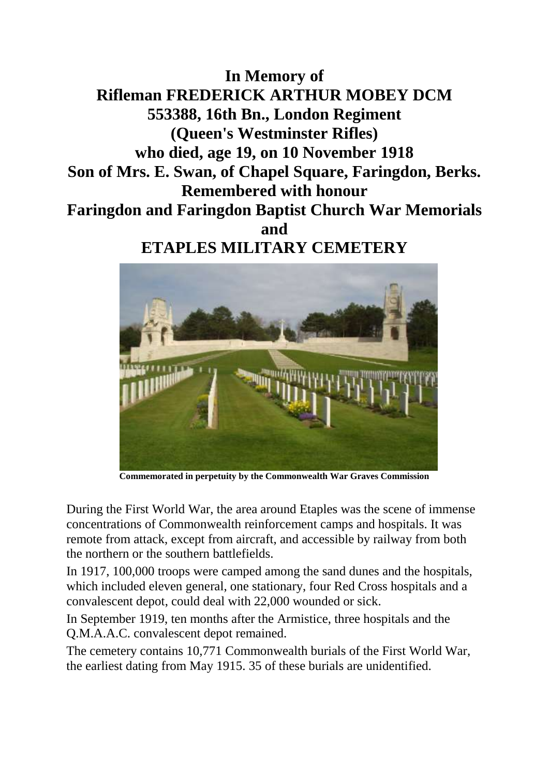**In Memory of Rifleman FREDERICK ARTHUR MOBEY DCM 553388, 16th Bn., London Regiment (Queen's Westminster Rifles) who died, age 19, on 10 November 1918 Son of Mrs. E. Swan, of Chapel Square, Faringdon, Berks. Remembered with honour Faringdon and Faringdon Baptist Church War Memorials and ETAPLES MILITARY CEMETERY**



**Commemorated in perpetuity by the Commonwealth War Graves Commission** 

During the First World War, the area around Etaples was the scene of immense concentrations of Commonwealth reinforcement camps and hospitals. It was remote from attack, except from aircraft, and accessible by railway from both the northern or the southern battlefields.

In 1917, 100,000 troops were camped among the sand dunes and the hospitals, which included eleven general, one stationary, four Red Cross hospitals and a convalescent depot, could deal with 22,000 wounded or sick.

In September 1919, ten months after the Armistice, three hospitals and the Q.M.A.A.C. convalescent depot remained.

The cemetery contains 10,771 Commonwealth burials of the First World War, the earliest dating from May 1915. 35 of these burials are unidentified.